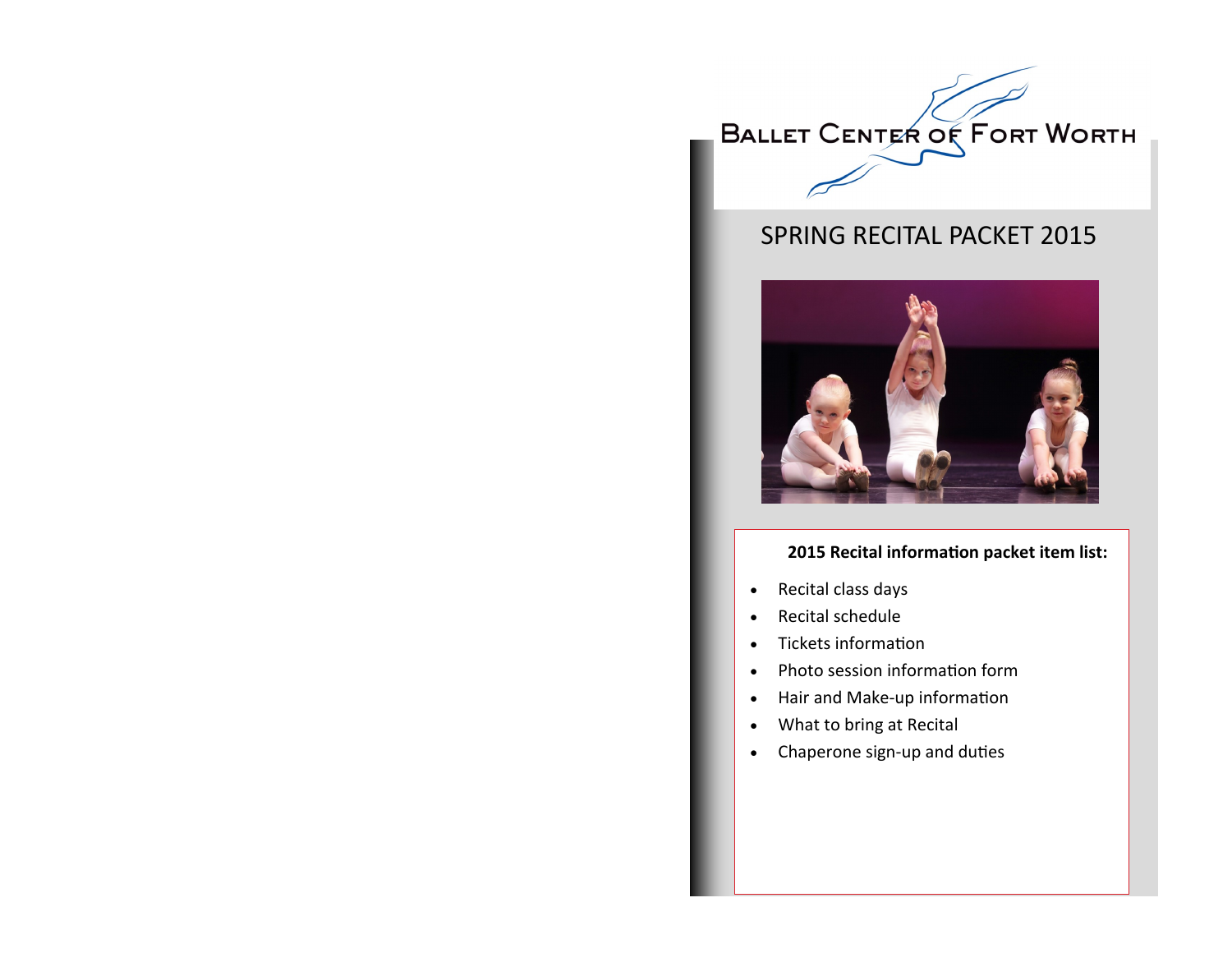

# SPRING RECITAL PACKET 2015



#### **2015 Recital information packet item list:**

- Recital class days
- Recital schedule
- Tickets information
- Photo session information form
- Hair and Make-up information
- What to bring at Recital
- Chaperone sign-up and duties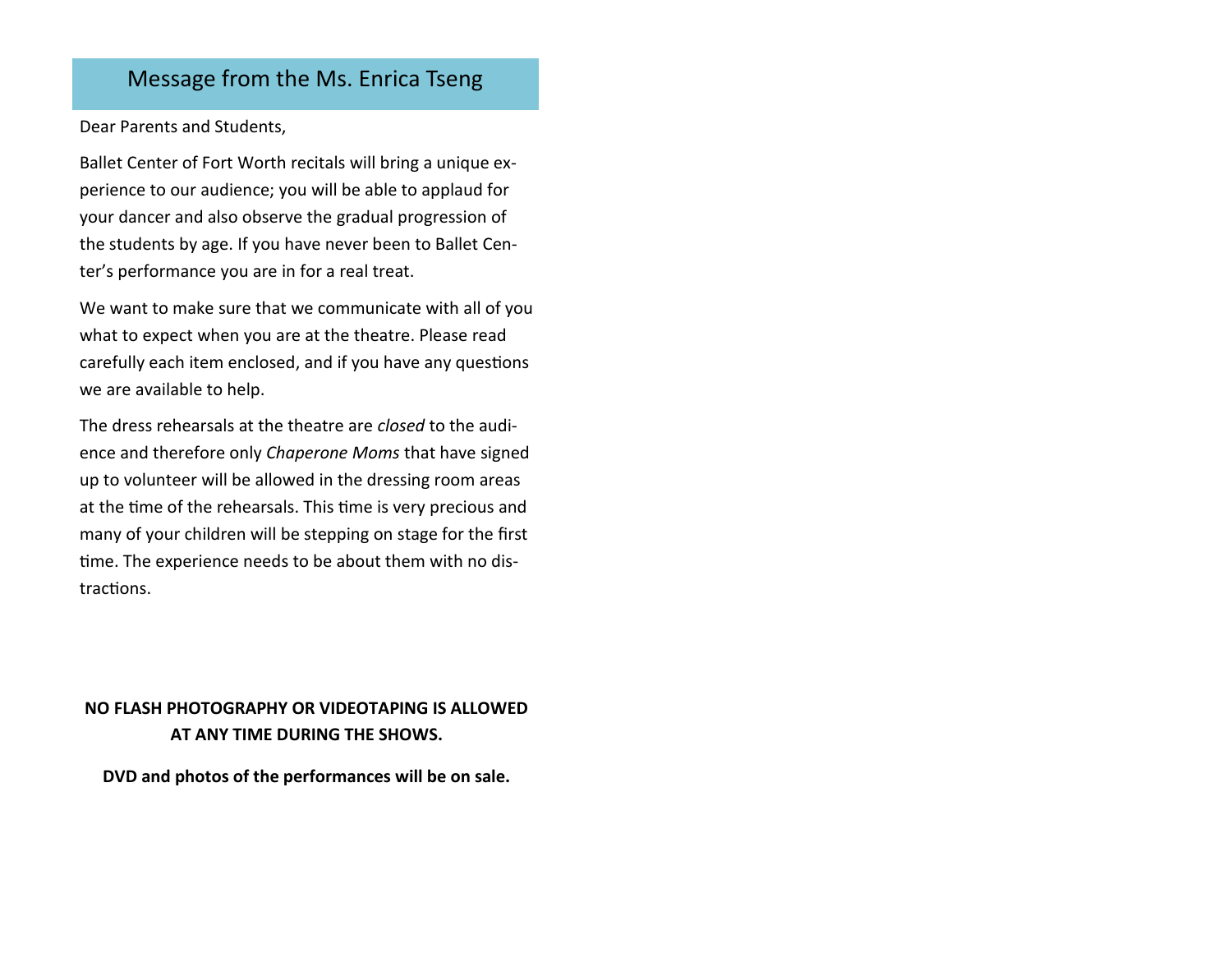### Message from the Ms. Enrica Tseng

Dear Parents and Students,

Ballet Center of Fort Worth recitals will bring a unique experience to our audience; you will be able to applaud for your dancer and also observe the gradual progression of the students by age. If you have never been to Ballet Center's performance you are in for a real treat.

We want to make sure that we communicate with all of you what to expect when you are at the theatre. Please read carefully each item enclosed, and if you have any questions we are available to help.

The dress rehearsals at the theatre are *closed* to the audience and therefore only *Chaperone Moms* that have signed up to volunteer will be allowed in the dressing room areas at the time of the rehearsals. This time is very precious and many of your children will be stepping on stage for the first time. The experience needs to be about them with no distractions.

### **NO FLASH PHOTOGRAPHY OR VIDEOTAPING IS ALLOWED AT ANY TIME DURING THE SHOWS.**

**DVD and photos of the performances will be on sale.**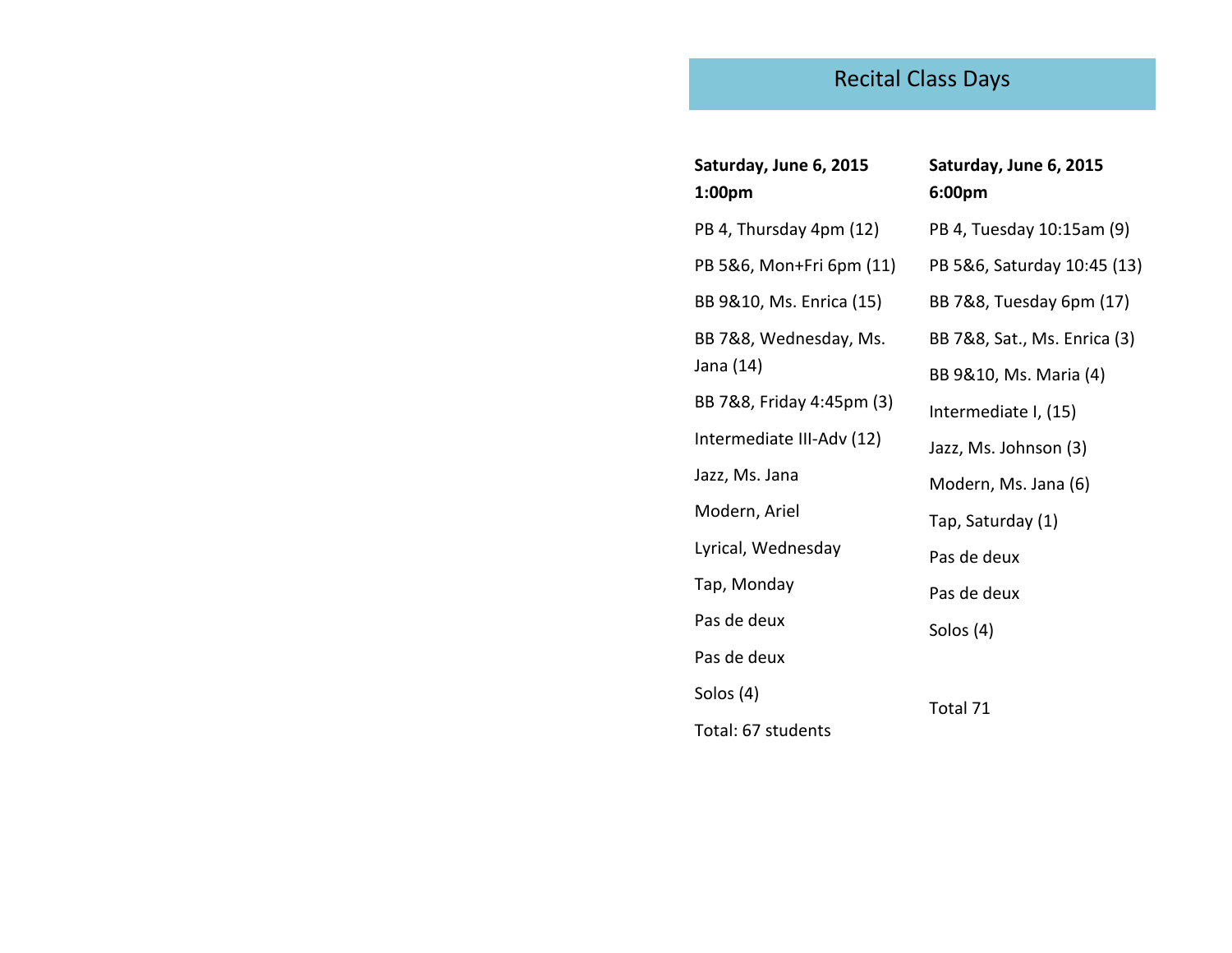# Recital Class Days

| Saturday, June 6, 2015<br>1:00pm | Saturday, June 6, 2015<br>6:00pm |
|----------------------------------|----------------------------------|
| PB 4, Thursday 4pm (12)          | PB 4, Tuesday 10:15am (9)        |
| PB 5&6, Mon+Fri 6pm (11)         | PB 5&6, Saturday 10:45 (13)      |
| BB 9&10, Ms. Enrica (15)         | BB 7&8, Tuesday 6pm (17)         |
| BB 7&8, Wednesday, Ms.           | BB 7&8, Sat., Ms. Enrica (3)     |
| Jana (14)                        | BB 9&10, Ms. Maria (4)           |
| BB 7&8, Friday 4:45pm (3)        | Intermediate I, (15)             |
| Intermediate III-Adv (12)        | Jazz, Ms. Johnson (3)            |
| Jazz, Ms. Jana                   | Modern, Ms. Jana (6)             |
| Modern, Ariel                    | Tap, Saturday (1)                |
| Lyrical, Wednesday               | Pas de deux                      |
| Tap, Monday                      | Pas de deux                      |
| Pas de deux                      | Solos (4)                        |
| Pas de deux                      |                                  |
| Solos (4)                        |                                  |
| Total: 67 students               | Total 71                         |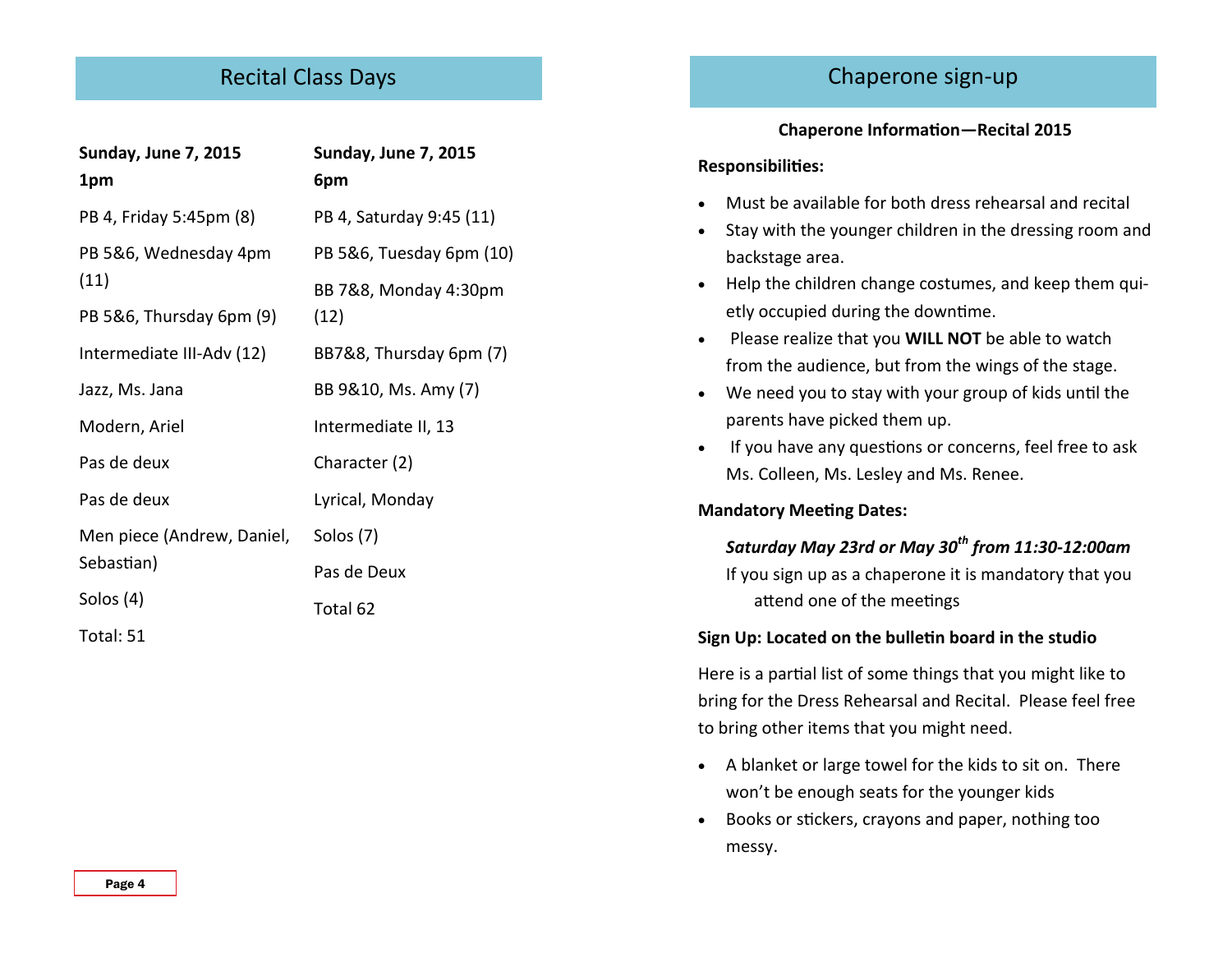# Recital Class Days

| <b>Sunday, June 7, 2015</b>              | <b>Sunday, June 7, 2015</b> |
|------------------------------------------|-----------------------------|
| 1pm                                      | 6pm                         |
| PB 4, Friday 5:45pm (8)                  | PB 4, Saturday 9:45 (11)    |
| PB 5&6, Wednesday 4pm                    | PB 5&6, Tuesday 6pm (10)    |
| (11)                                     | BB 7&8, Monday 4:30pm       |
| PB 5&6, Thursday 6pm (9)                 | (12)                        |
| Intermediate III-Adv (12)                | BB7&8, Thursday 6pm (7)     |
| Jazz, Ms. Jana                           | BB 9&10, Ms. Amy (7)        |
| Modern, Ariel                            | Intermediate II, 13         |
| Pas de deux                              | Character (2)               |
| Pas de deux                              | Lyrical, Monday             |
| Men piece (Andrew, Daniel,<br>Sebastian) | Solos (7)                   |
|                                          | Pas de Deux                 |
| Solos (4)                                | Total 62                    |
| Total: 51                                |                             |

# Chaperone sign-up

#### **Chaperone Information—Recital 2015**

#### **Responsibilities:**

- Must be available for both dress rehearsal and recital
- Stay with the younger children in the dressing room and backstage area.
- Help the children change costumes, and keep them quietly occupied during the downtime.
- Please realize that you **WILL NOT** be able to watch from the audience, but from the wings of the stage.
- We need you to stay with your group of kids until the parents have picked them up.
- If you have any questions or concerns, feel free to ask Ms. Colleen, Ms. Lesley and Ms. Renee.

#### **Mandatory Meeting Dates:**

### *Saturday May 23rd or May 30th from 11:30-12:00am*

If you sign up as a chaperone it is mandatory that you attend one of the meetings

#### **Sign Up: Located on the bulletin board in the studio**

Here is a partial list of some things that you might like to bring for the Dress Rehearsal and Recital. Please feel free to bring other items that you might need.

- A blanket or large towel for the kids to sit on. There won't be enough seats for the younger kids
- Books or stickers, crayons and paper, nothing too messy.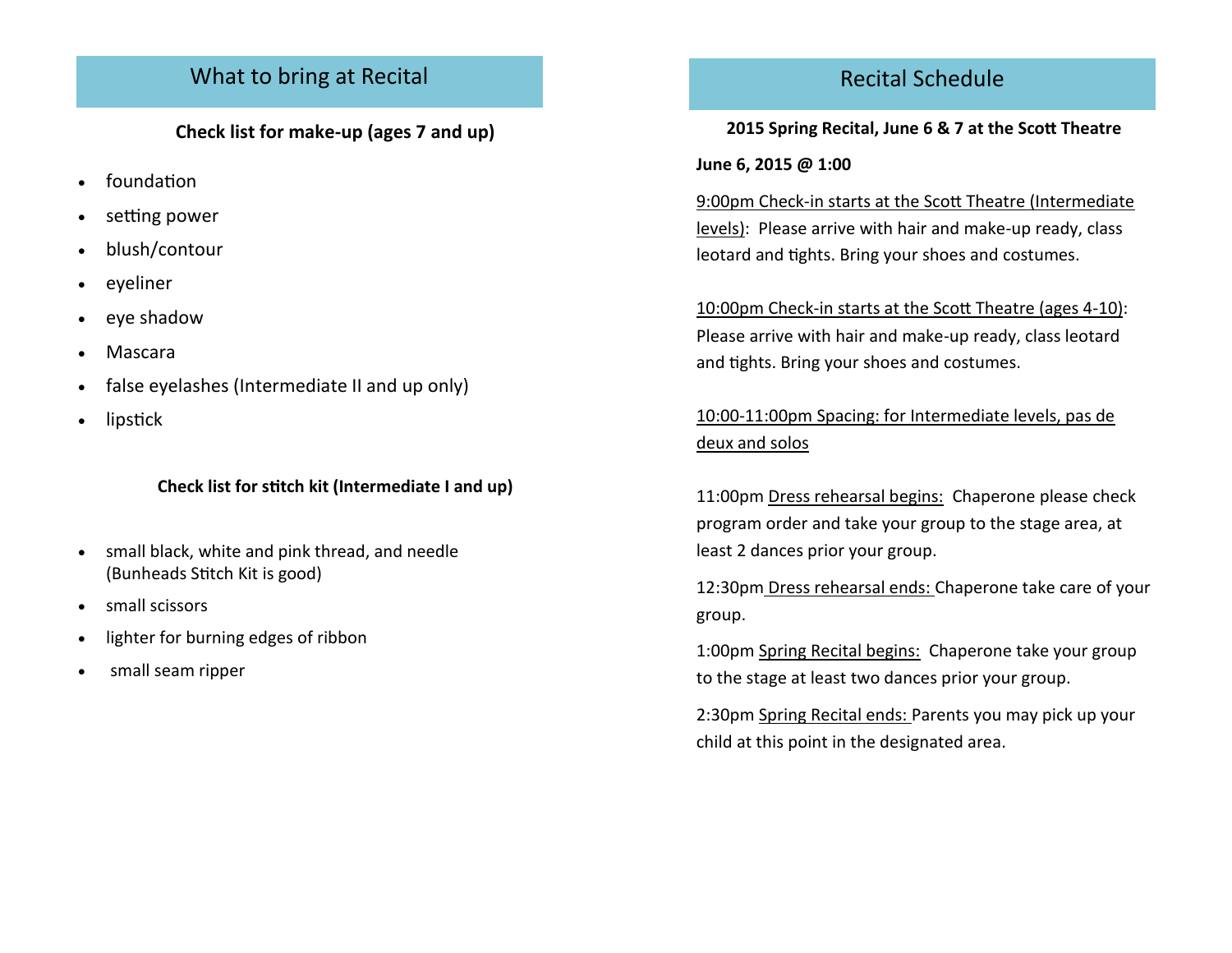# What to bring at Recital

**Check list for make-up (ages 7 and up)**

- foundation
- setting power
- blush/contour
- eyeliner
- eye shadow
- Mascara
- false eyelashes (Intermediate II and up only)
- lipstick

### **Check list for stitch kit (Intermediate I and up)**

- small black, white and pink thread, and needle (Bunheads Stitch Kit is good)
- small scissors
- lighter for burning edges of ribbon
- small seam ripper

# Recital Schedule

### **2015 Spring Recital, June 6 & 7 at the Scott Theatre**

### **June 6, 2015 @ 1:00**

9:00pm Check-in starts at the Scott Theatre (Intermediate levels): Please arrive with hair and make-up ready, class leotard and tights. Bring your shoes and costumes.

10:00pm Check-in starts at the Scott Theatre (ages 4-10): Please arrive with hair and make-up ready, class leotard and tights. Bring your shoes and costumes.

10:00-11:00pm Spacing: for Intermediate levels, pas de deux and solos

11:00pm Dress rehearsal begins: Chaperone please check program order and take your group to the stage area, at least 2 dances prior your group.

12:30pm Dress rehearsal ends: Chaperone take care of your group.

1:00pm Spring Recital begins: Chaperone take your group to the stage at least two dances prior your group.

2:30pm Spring Recital ends: Parents you may pick up your child at this point in the designated area.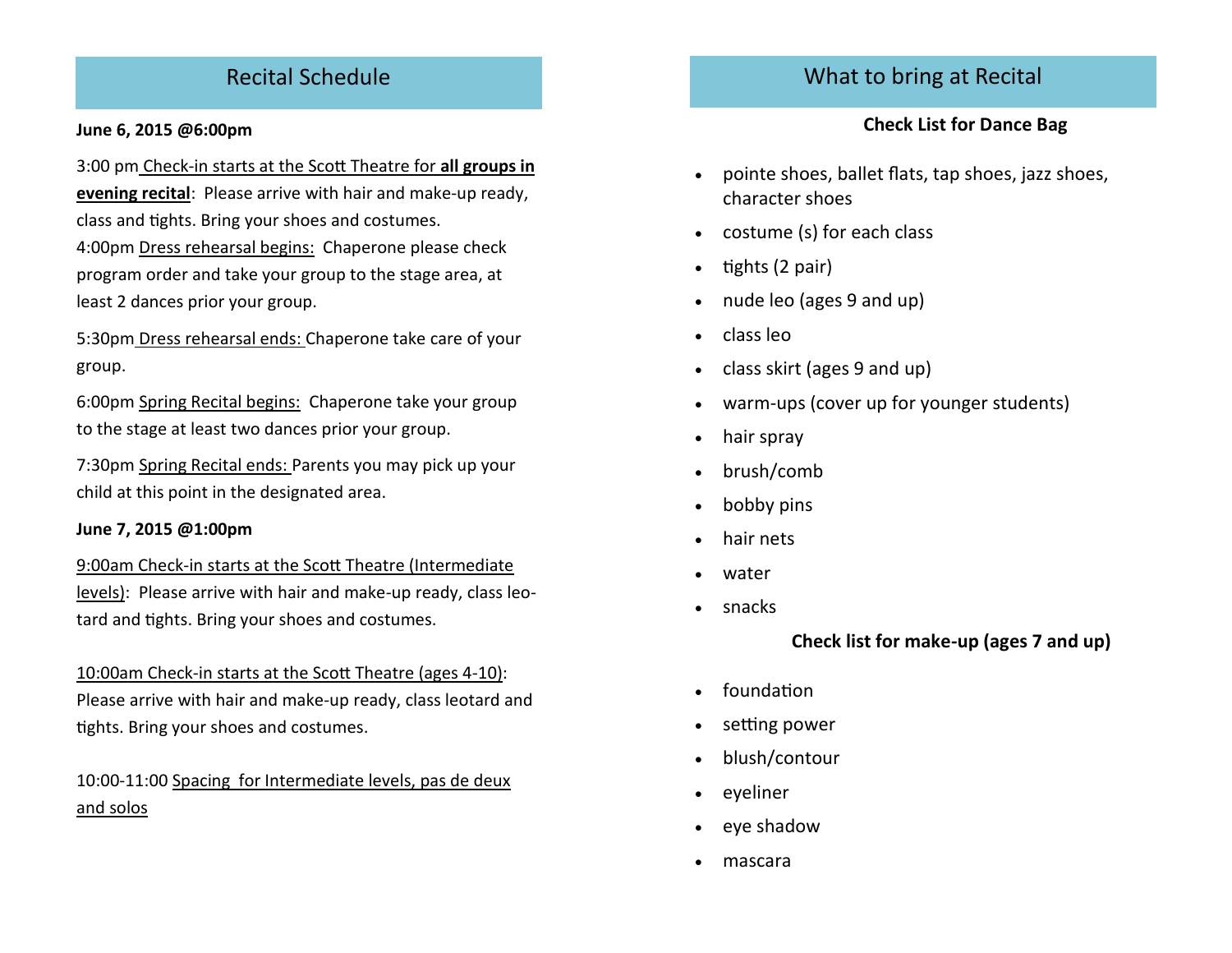# Recital Schedule

#### **June 6, 2015 @6:00pm**

3:00 pm Check-in starts at the Scott Theatre for **all groups in evening recital**: Please arrive with hair and make-up ready, class and tights. Bring your shoes and costumes.

4:00pm Dress rehearsal begins: Chaperone please check program order and take your group to the stage area, at least 2 dances prior your group.

5:30pm Dress rehearsal ends: Chaperone take care of your group.

6:00pm Spring Recital begins: Chaperone take your group to the stage at least two dances prior your group.

7:30pm Spring Recital ends: Parents you may pick up your child at this point in the designated area.

#### **June 7, 2015 @1:00pm**

9:00am Check-in starts at the Scott Theatre (Intermediate levels): Please arrive with hair and make-up ready, class leotard and tights. Bring your shoes and costumes.

10:00am Check-in starts at the Scott Theatre (ages 4-10): Please arrive with hair and make-up ready, class leotard and tights. Bring your shoes and costumes.

10:00-11:00 Spacing for Intermediate levels, pas de deux and solos

### What to bring at Recital

### **Check List for Dance Bag**

- pointe shoes, ballet flats, tap shoes, jazz shoes, character shoes
- costume (s) for each class
- tights (2 pair)
- nude leo (ages 9 and up)
- class leo
- class skirt (ages 9 and up)
- warm-ups (cover up for younger students)
- hair spray
- brush/comb
- bobby pins
- hair nets
- water
- snacks

**Check list for make-up (ages 7 and up)**

- foundation
- setting power
- blush/contour
- eyeliner
- eye shadow
- mascara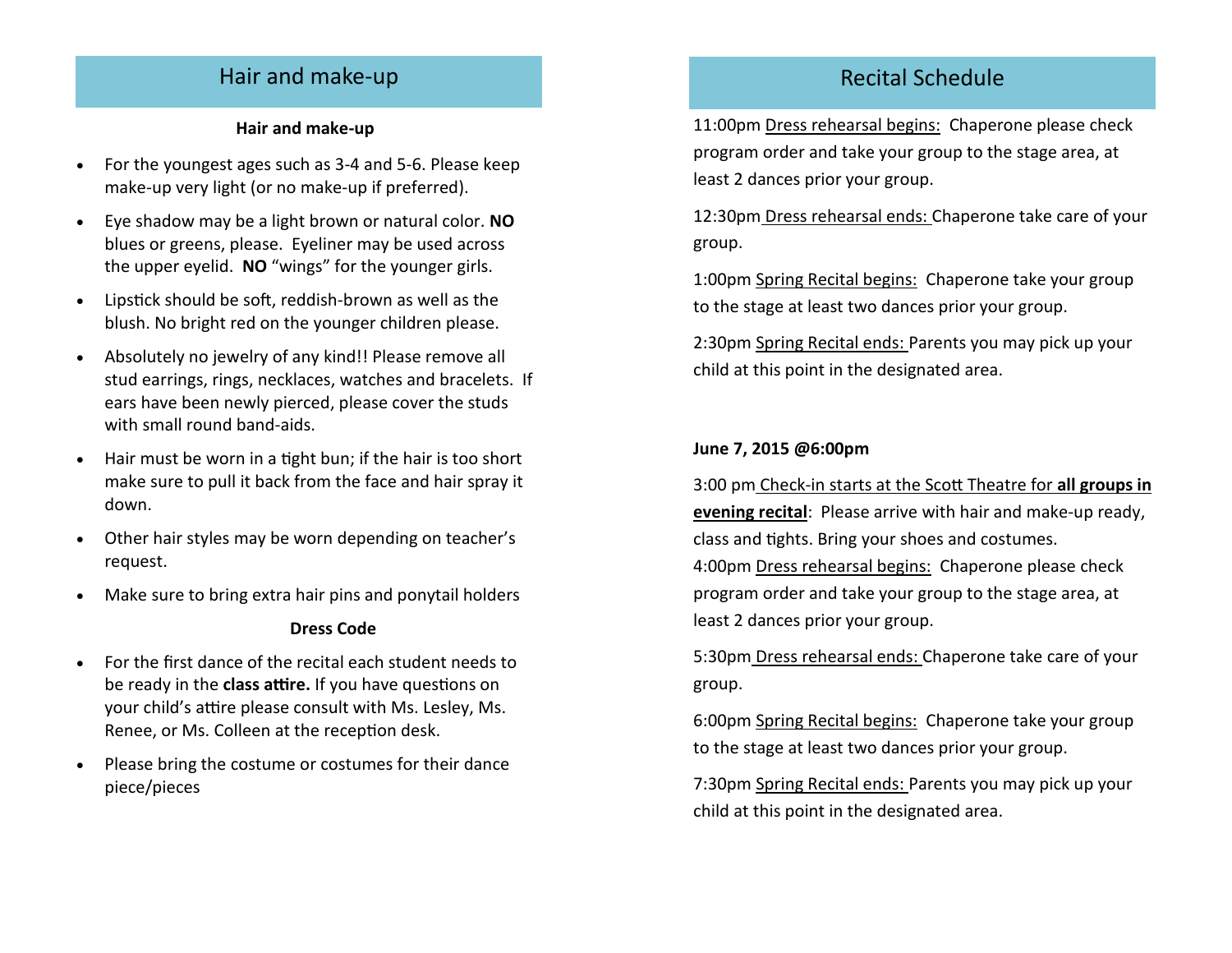## Hair and make-up

#### **Hair and make-up**

- For the youngest ages such as 3-4 and 5-6. Please keep make-up very light (or no make-up if preferred).
- Eye shadow may be a light brown or natural color. **NO** blues or greens, please. Eyeliner may be used across the upper eyelid. **NO** "wings" for the younger girls.
- Lipstick should be soft, reddish-brown as well as the blush. No bright red on the younger children please.
- Absolutely no jewelry of any kind!! Please remove all stud earrings, rings, necklaces, watches and bracelets. If ears have been newly pierced, please cover the studs with small round band-aids.
- Hair must be worn in a tight bun; if the hair is too short make sure to pull it back from the face and hair spray it down.
- Other hair styles may be worn depending on teacher's request.
- Make sure to bring extra hair pins and ponytail holders

#### **Dress Code**

- For the first dance of the recital each student needs to be ready in the **class attire.** If you have questions on your child's attire please consult with Ms. Lesley, Ms. Renee, or Ms. Colleen at the reception desk.
- Please bring the costume or costumes for their dance piece/pieces

## Recital Schedule

11:00pm Dress rehearsal begins: Chaperone please check program order and take your group to the stage area, at least 2 dances prior your group.

12:30pm Dress rehearsal ends: Chaperone take care of your group.

1:00pm Spring Recital begins: Chaperone take your group to the stage at least two dances prior your group.

2:30pm Spring Recital ends: Parents you may pick up your child at this point in the designated area.

#### **June 7, 2015 @6:00pm**

3:00 pm Check-in starts at the Scott Theatre for **all groups in evening recital**: Please arrive with hair and make-up ready, class and tights. Bring your shoes and costumes.

4:00pm Dress rehearsal begins: Chaperone please check program order and take your group to the stage area, at least 2 dances prior your group.

5:30pm Dress rehearsal ends: Chaperone take care of your group.

6:00pm Spring Recital begins: Chaperone take your group to the stage at least two dances prior your group.

7:30pm Spring Recital ends: Parents you may pick up your child at this point in the designated area.